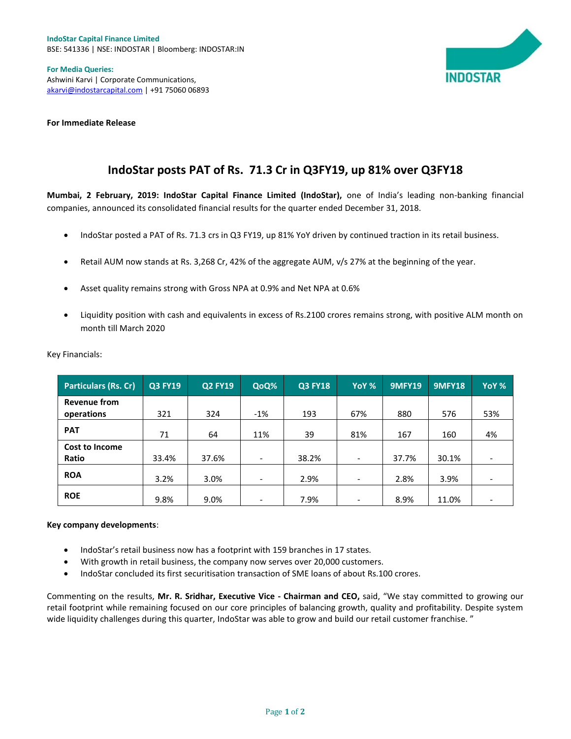

**For Media Queries:** Ashwini Karvi | Corporate Communications, akarvi@indostarcapital.com | +91 75060 06893

**For Immediate Release**

## **IndoStar posts PAT of Rs. 71.3 Cr in Q3FY19, up 81% over Q3FY18**

**Mumbai, 2 February, 2019: IndoStar Capital Finance Limited (IndoStar),** one of India's leading non-banking financial companies, announced its consolidated financial results for the quarter ended December 31, 2018.

- IndoStar posted a PAT of Rs. 71.3 crs in Q3 FY19, up 81% YoY driven by continued traction in its retail business.
- Retail AUM now stands at Rs. 3,268 Cr, 42% of the aggregate AUM, v/s 27% at the beginning of the year.
- Asset quality remains strong with Gross NPA at 0.9% and Net NPA at 0.6%
- Liquidity position with cash and equivalents in excess of Rs.2100 crores remains strong, with positive ALM month on month till March 2020

| <b>Particulars (Rs. Cr)</b>       | <b>Q3 FY19</b> | <b>Q2 FY19</b> | QoQ%                     | <b>Q3 FY18</b> | YoY %                        | <b>9MFY19</b> | <b>9MFY18</b> | YoY %                    |
|-----------------------------------|----------------|----------------|--------------------------|----------------|------------------------------|---------------|---------------|--------------------------|
| <b>Revenue from</b><br>operations | 321            | 324            | $-1%$                    | 193            | 67%                          | 880           | 576           | 53%                      |
| <b>PAT</b>                        | 71             | 64             | 11%                      | 39             | 81%                          | 167           | 160           | 4%                       |
| Cost to Income<br>Ratio           | 33.4%          | 37.6%          | $\overline{\phantom{a}}$ | 38.2%          | $\qquad \qquad \blacksquare$ | 37.7%         | 30.1%         | $\overline{\phantom{0}}$ |
| <b>ROA</b>                        | 3.2%           | 3.0%           | $\overline{\phantom{a}}$ | 2.9%           | $\overline{\phantom{a}}$     | 2.8%          | 3.9%          | $\overline{\phantom{0}}$ |
| <b>ROE</b>                        | 9.8%           | 9.0%           | $\overline{\phantom{a}}$ | 7.9%           | ۰                            | 8.9%          | 11.0%         |                          |

Key Financials:

## **Key company developments**:

- IndoStar's retail business now has a footprint with 159 branches in 17 states.
- With growth in retail business, the company now serves over 20,000 customers.
- IndoStar concluded its first securitisation transaction of SME loans of about Rs.100 crores.

Commenting on the results, **Mr. R. Sridhar, Executive Vice - Chairman and CEO,** said, "We stay committed to growing our retail footprint while remaining focused on our core principles of balancing growth, quality and profitability. Despite system wide liquidity challenges during this quarter, IndoStar was able to grow and build our retail customer franchise."